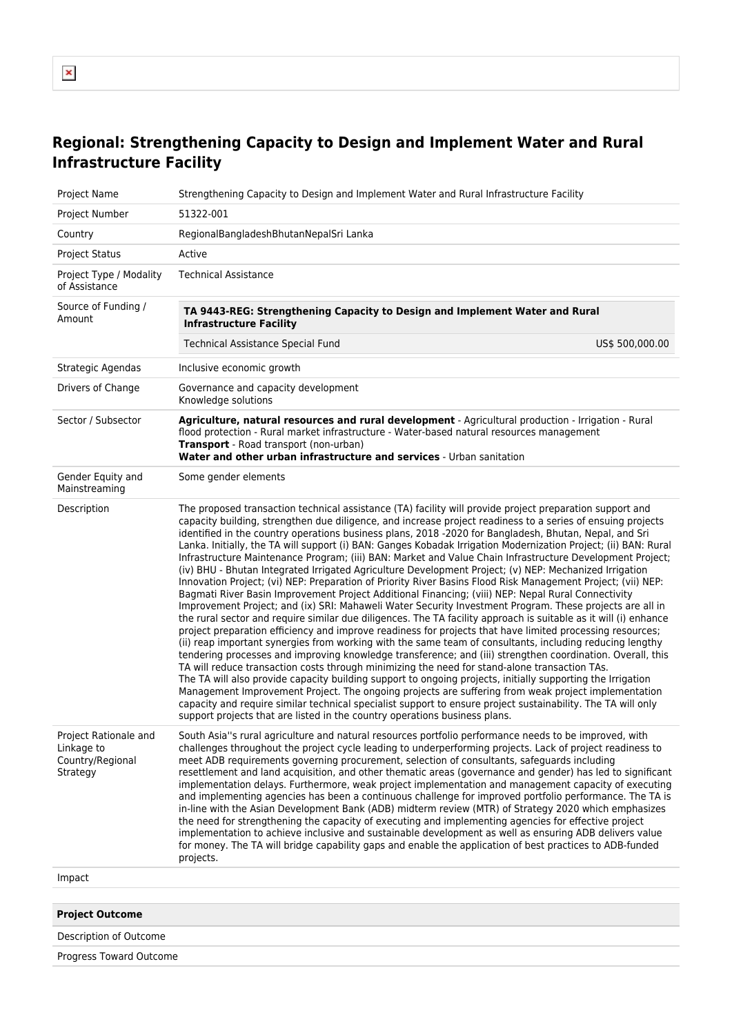## **Regional: Strengthening Capacity to Design and Implement Water and Rural Infrastructure Facility**

| Project Name                                                        | Strengthening Capacity to Design and Implement Water and Rural Infrastructure Facility                                                                                                                                                                                                                                                                                                                                                                                                                                                                                                                                                                                                                                                                                                                                                                                                                                                                                                                                                                                                                                                                                                                                                                                                                                                                                                                                                                                                                                                                                                                                                                                                                                                                                                                                                                                                                                                                                                        |
|---------------------------------------------------------------------|-----------------------------------------------------------------------------------------------------------------------------------------------------------------------------------------------------------------------------------------------------------------------------------------------------------------------------------------------------------------------------------------------------------------------------------------------------------------------------------------------------------------------------------------------------------------------------------------------------------------------------------------------------------------------------------------------------------------------------------------------------------------------------------------------------------------------------------------------------------------------------------------------------------------------------------------------------------------------------------------------------------------------------------------------------------------------------------------------------------------------------------------------------------------------------------------------------------------------------------------------------------------------------------------------------------------------------------------------------------------------------------------------------------------------------------------------------------------------------------------------------------------------------------------------------------------------------------------------------------------------------------------------------------------------------------------------------------------------------------------------------------------------------------------------------------------------------------------------------------------------------------------------------------------------------------------------------------------------------------------------|
| Project Number                                                      | 51322-001                                                                                                                                                                                                                                                                                                                                                                                                                                                                                                                                                                                                                                                                                                                                                                                                                                                                                                                                                                                                                                                                                                                                                                                                                                                                                                                                                                                                                                                                                                                                                                                                                                                                                                                                                                                                                                                                                                                                                                                     |
| Country                                                             | RegionalBangladeshBhutanNepalSri Lanka                                                                                                                                                                                                                                                                                                                                                                                                                                                                                                                                                                                                                                                                                                                                                                                                                                                                                                                                                                                                                                                                                                                                                                                                                                                                                                                                                                                                                                                                                                                                                                                                                                                                                                                                                                                                                                                                                                                                                        |
| <b>Project Status</b>                                               | Active                                                                                                                                                                                                                                                                                                                                                                                                                                                                                                                                                                                                                                                                                                                                                                                                                                                                                                                                                                                                                                                                                                                                                                                                                                                                                                                                                                                                                                                                                                                                                                                                                                                                                                                                                                                                                                                                                                                                                                                        |
| Project Type / Modality<br>of Assistance                            | <b>Technical Assistance</b>                                                                                                                                                                                                                                                                                                                                                                                                                                                                                                                                                                                                                                                                                                                                                                                                                                                                                                                                                                                                                                                                                                                                                                                                                                                                                                                                                                                                                                                                                                                                                                                                                                                                                                                                                                                                                                                                                                                                                                   |
| Source of Funding /<br>Amount                                       | TA 9443-REG: Strengthening Capacity to Design and Implement Water and Rural<br><b>Infrastructure Facility</b>                                                                                                                                                                                                                                                                                                                                                                                                                                                                                                                                                                                                                                                                                                                                                                                                                                                                                                                                                                                                                                                                                                                                                                                                                                                                                                                                                                                                                                                                                                                                                                                                                                                                                                                                                                                                                                                                                 |
|                                                                     | US\$ 500,000.00<br><b>Technical Assistance Special Fund</b>                                                                                                                                                                                                                                                                                                                                                                                                                                                                                                                                                                                                                                                                                                                                                                                                                                                                                                                                                                                                                                                                                                                                                                                                                                                                                                                                                                                                                                                                                                                                                                                                                                                                                                                                                                                                                                                                                                                                   |
| Strategic Agendas                                                   | Inclusive economic growth                                                                                                                                                                                                                                                                                                                                                                                                                                                                                                                                                                                                                                                                                                                                                                                                                                                                                                                                                                                                                                                                                                                                                                                                                                                                                                                                                                                                                                                                                                                                                                                                                                                                                                                                                                                                                                                                                                                                                                     |
| Drivers of Change                                                   | Governance and capacity development<br>Knowledge solutions                                                                                                                                                                                                                                                                                                                                                                                                                                                                                                                                                                                                                                                                                                                                                                                                                                                                                                                                                                                                                                                                                                                                                                                                                                                                                                                                                                                                                                                                                                                                                                                                                                                                                                                                                                                                                                                                                                                                    |
| Sector / Subsector                                                  | Agriculture, natural resources and rural development - Agricultural production - Irrigation - Rural<br>flood protection - Rural market infrastructure - Water-based natural resources management<br>Transport - Road transport (non-urban)<br>Water and other urban infrastructure and services - Urban sanitation                                                                                                                                                                                                                                                                                                                                                                                                                                                                                                                                                                                                                                                                                                                                                                                                                                                                                                                                                                                                                                                                                                                                                                                                                                                                                                                                                                                                                                                                                                                                                                                                                                                                            |
| Gender Equity and<br>Mainstreaming                                  | Some gender elements                                                                                                                                                                                                                                                                                                                                                                                                                                                                                                                                                                                                                                                                                                                                                                                                                                                                                                                                                                                                                                                                                                                                                                                                                                                                                                                                                                                                                                                                                                                                                                                                                                                                                                                                                                                                                                                                                                                                                                          |
| Description                                                         | The proposed transaction technical assistance (TA) facility will provide project preparation support and<br>capacity building, strengthen due diligence, and increase project readiness to a series of ensuing projects<br>identified in the country operations business plans, 2018 -2020 for Bangladesh, Bhutan, Nepal, and Sri<br>Lanka. Initially, the TA will support (i) BAN: Ganges Kobadak Irrigation Modernization Project; (ii) BAN: Rural<br>Infrastructure Maintenance Program; (iii) BAN: Market and Value Chain Infrastructure Development Project;<br>(iv) BHU - Bhutan Integrated Irrigated Agriculture Development Project; (v) NEP: Mechanized Irrigation<br>Innovation Project; (vi) NEP: Preparation of Priority River Basins Flood Risk Management Project; (vii) NEP:<br>Bagmati River Basin Improvement Project Additional Financing; (viii) NEP: Nepal Rural Connectivity<br>Improvement Project; and (ix) SRI: Mahaweli Water Security Investment Program. These projects are all in<br>the rural sector and require similar due diligences. The TA facility approach is suitable as it will (i) enhance<br>project preparation efficiency and improve readiness for projects that have limited processing resources;<br>(ii) reap important synergies from working with the same team of consultants, including reducing lengthy<br>tendering processes and improving knowledge transference; and (iii) strengthen coordination. Overall, this<br>TA will reduce transaction costs through minimizing the need for stand-alone transaction TAs.<br>The TA will also provide capacity building support to ongoing projects, initially supporting the Irrigation<br>Management Improvement Project. The ongoing projects are suffering from weak project implementation<br>capacity and require similar technical specialist support to ensure project sustainability. The TA will only<br>support projects that are listed in the country operations business plans. |
| Project Rationale and<br>Linkage to<br>Country/Regional<br>Strategy | South Asia"s rural agriculture and natural resources portfolio performance needs to be improved, with<br>challenges throughout the project cycle leading to underperforming projects. Lack of project readiness to<br>meet ADB requirements governing procurement, selection of consultants, safequards including<br>resettlement and land acquisition, and other thematic areas (governance and gender) has led to significant<br>implementation delays. Furthermore, weak project implementation and management capacity of executing<br>and implementing agencies has been a continuous challenge for improved portfolio performance. The TA is<br>in-line with the Asian Development Bank (ADB) midterm review (MTR) of Strategy 2020 which emphasizes<br>the need for strengthening the capacity of executing and implementing agencies for effective project<br>implementation to achieve inclusive and sustainable development as well as ensuring ADB delivers value<br>for money. The TA will bridge capability gaps and enable the application of best practices to ADB-funded<br>projects.                                                                                                                                                                                                                                                                                                                                                                                                                                                                                                                                                                                                                                                                                                                                                                                                                                                                                         |
| Impact                                                              |                                                                                                                                                                                                                                                                                                                                                                                                                                                                                                                                                                                                                                                                                                                                                                                                                                                                                                                                                                                                                                                                                                                                                                                                                                                                                                                                                                                                                                                                                                                                                                                                                                                                                                                                                                                                                                                                                                                                                                                               |
|                                                                     |                                                                                                                                                                                                                                                                                                                                                                                                                                                                                                                                                                                                                                                                                                                                                                                                                                                                                                                                                                                                                                                                                                                                                                                                                                                                                                                                                                                                                                                                                                                                                                                                                                                                                                                                                                                                                                                                                                                                                                                               |
| <b>Project Outcome</b>                                              |                                                                                                                                                                                                                                                                                                                                                                                                                                                                                                                                                                                                                                                                                                                                                                                                                                                                                                                                                                                                                                                                                                                                                                                                                                                                                                                                                                                                                                                                                                                                                                                                                                                                                                                                                                                                                                                                                                                                                                                               |
| Description of Outcome                                              |                                                                                                                                                                                                                                                                                                                                                                                                                                                                                                                                                                                                                                                                                                                                                                                                                                                                                                                                                                                                                                                                                                                                                                                                                                                                                                                                                                                                                                                                                                                                                                                                                                                                                                                                                                                                                                                                                                                                                                                               |

Progress Toward Outcome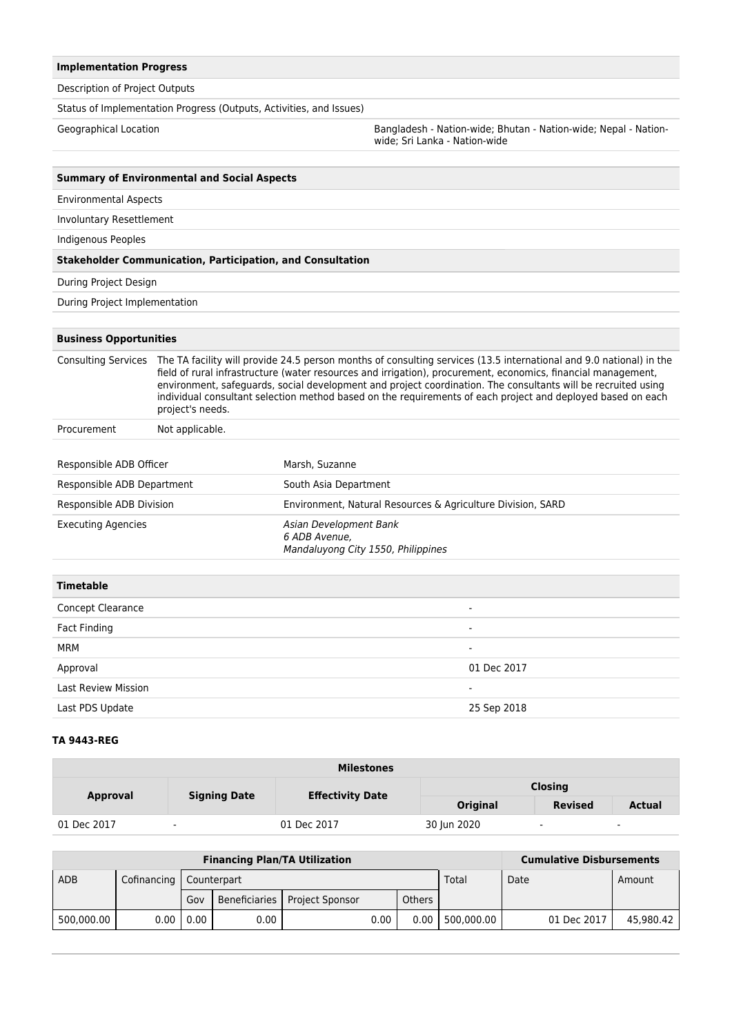## **Implementation Progress**

Description of Project Outputs

Status of Implementation Progress (Outputs, Activities, and Issues)

Geographical Location **Bangladesh - Nation-wide; Bhutan - Nation-wide**; Nepal - Nationwide; Sri Lanka - Nation-wide

| <b>Summary of Environmental and Social Aspects</b> |                                                                                                                                                                                                                                                                                                                                                                                                                                                                                          |                                                                               |  |  |  |  |
|----------------------------------------------------|------------------------------------------------------------------------------------------------------------------------------------------------------------------------------------------------------------------------------------------------------------------------------------------------------------------------------------------------------------------------------------------------------------------------------------------------------------------------------------------|-------------------------------------------------------------------------------|--|--|--|--|
| <b>Environmental Aspects</b>                       |                                                                                                                                                                                                                                                                                                                                                                                                                                                                                          |                                                                               |  |  |  |  |
| <b>Involuntary Resettlement</b>                    |                                                                                                                                                                                                                                                                                                                                                                                                                                                                                          |                                                                               |  |  |  |  |
| Indigenous Peoples                                 |                                                                                                                                                                                                                                                                                                                                                                                                                                                                                          |                                                                               |  |  |  |  |
|                                                    | <b>Stakeholder Communication, Participation, and Consultation</b>                                                                                                                                                                                                                                                                                                                                                                                                                        |                                                                               |  |  |  |  |
| During Project Design                              |                                                                                                                                                                                                                                                                                                                                                                                                                                                                                          |                                                                               |  |  |  |  |
| During Project Implementation                      |                                                                                                                                                                                                                                                                                                                                                                                                                                                                                          |                                                                               |  |  |  |  |
|                                                    |                                                                                                                                                                                                                                                                                                                                                                                                                                                                                          |                                                                               |  |  |  |  |
| <b>Business Opportunities</b>                      |                                                                                                                                                                                                                                                                                                                                                                                                                                                                                          |                                                                               |  |  |  |  |
| <b>Consulting Services</b>                         | The TA facility will provide 24.5 person months of consulting services (13.5 international and 9.0 national) in the<br>field of rural infrastructure (water resources and irrigation), procurement, economics, financial management,<br>environment, safequards, social development and project coordination. The consultants will be recruited using<br>individual consultant selection method based on the requirements of each project and deployed based on each<br>project's needs. |                                                                               |  |  |  |  |
| Procurement                                        | Not applicable.                                                                                                                                                                                                                                                                                                                                                                                                                                                                          |                                                                               |  |  |  |  |
|                                                    |                                                                                                                                                                                                                                                                                                                                                                                                                                                                                          |                                                                               |  |  |  |  |
| Responsible ADB Officer                            |                                                                                                                                                                                                                                                                                                                                                                                                                                                                                          | Marsh, Suzanne                                                                |  |  |  |  |
| Responsible ADB Department                         |                                                                                                                                                                                                                                                                                                                                                                                                                                                                                          | South Asia Department                                                         |  |  |  |  |
| Responsible ADB Division                           |                                                                                                                                                                                                                                                                                                                                                                                                                                                                                          | Environment, Natural Resources & Agriculture Division, SARD                   |  |  |  |  |
| <b>Executing Agencies</b>                          |                                                                                                                                                                                                                                                                                                                                                                                                                                                                                          | Asian Development Bank<br>6 ADB Avenue,<br>Mandaluyong City 1550, Philippines |  |  |  |  |
| <b>Timetable</b>                                   |                                                                                                                                                                                                                                                                                                                                                                                                                                                                                          |                                                                               |  |  |  |  |
| <b>Concept Clearance</b>                           |                                                                                                                                                                                                                                                                                                                                                                                                                                                                                          |                                                                               |  |  |  |  |
| <b>Fact Finding</b>                                |                                                                                                                                                                                                                                                                                                                                                                                                                                                                                          |                                                                               |  |  |  |  |
| <b>MRM</b>                                         |                                                                                                                                                                                                                                                                                                                                                                                                                                                                                          |                                                                               |  |  |  |  |
| Approval                                           |                                                                                                                                                                                                                                                                                                                                                                                                                                                                                          | 01 Dec 2017                                                                   |  |  |  |  |
| <b>Last Review Mission</b>                         |                                                                                                                                                                                                                                                                                                                                                                                                                                                                                          |                                                                               |  |  |  |  |
| Last PDS Update                                    |                                                                                                                                                                                                                                                                                                                                                                                                                                                                                          | 25 Sep 2018                                                                   |  |  |  |  |

## **TA 9443-REG**

| <b>Milestones</b> |                          |                         |                |                          |                          |  |  |
|-------------------|--------------------------|-------------------------|----------------|--------------------------|--------------------------|--|--|
| <b>Approval</b>   | <b>Signing Date</b>      | <b>Effectivity Date</b> | <b>Closing</b> |                          |                          |  |  |
|                   |                          |                         | Original       | <b>Revised</b>           | <b>Actual</b>            |  |  |
| 01 Dec 2017       | $\overline{\phantom{a}}$ | 01 Dec 2017             | 30 Jun 2020    | $\overline{\phantom{a}}$ | $\overline{\phantom{a}}$ |  |  |

| <b>Financing Plan/TA Utilization</b> |                           |                 |      |                                 |      |        | <b>Cumulative Disbursements</b> |             |           |
|--------------------------------------|---------------------------|-----------------|------|---------------------------------|------|--------|---------------------------------|-------------|-----------|
| <b>ADB</b>                           | Cofinancing   Counterpart |                 |      |                                 |      |        | Total                           | Date        | Amount    |
|                                      |                           | Gov             |      | Beneficiaries   Project Sponsor |      | Others |                                 |             |           |
| 500,000.00                           |                           | $0.00$   $0.00$ | 0.00 |                                 | 0.00 | 0.00   | 500.000.00                      | 01 Dec 2017 | 45.980.42 |